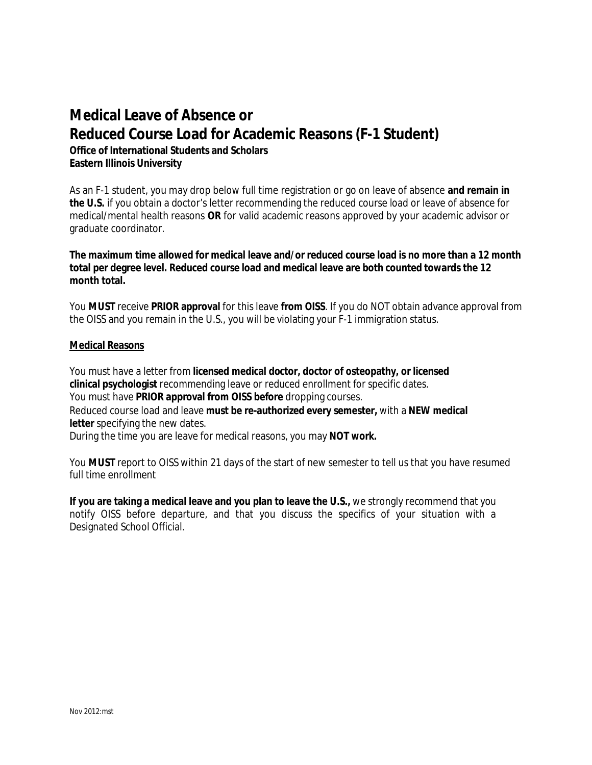## **Medical Leave of Absence or Reduced Course Load for Academic Reasons (F-1 Student)**

**Office of International Students and Scholars Eastern Illinois University**

As an F-1 student, you may drop below full time registration or go on leave of absence **and remain in the U.S.** if you obtain a doctor's letter recommending the reduced course load or leave of absence for medical/mental health reasons **OR** for valid academic reasons approved by your academic advisor or graduate coordinator.

**The maximum time allowed for medical leave and/or reduced course load is no more than a 12 month total per degree level. Reduced course load and medical leave are both counted towards the 12 month total.**

You **MUST** receive **PRIOR approval** for this leave **from OISS**. If you do NOT obtain advance approval from the OISS and you remain in the U.S., you will be violating your F-1 immigration status.

## **Medical Reasons**

You must have a letter from **licensed medical doctor, doctor of osteopathy, or licensed clinical psychologist** recommending leave or reduced enrollment for specific dates. You must have **PRIOR approval from OISS before** dropping courses. Reduced course load and leave **must be re-authorized every semester,** with a **NEW medical letter** specifying the new dates.

During the time you are leave for medical reasons, you may **NOT work.**

You **MUST** report to OISS within 21 days of the start of new semester to tell us that you have resumed full time enrollment

**If you are taking a medical leave and you plan to leave the U.S.,** we strongly recommend that you notify OISS before departure, and that you discuss the specifics of your situation with a Designated School Official.